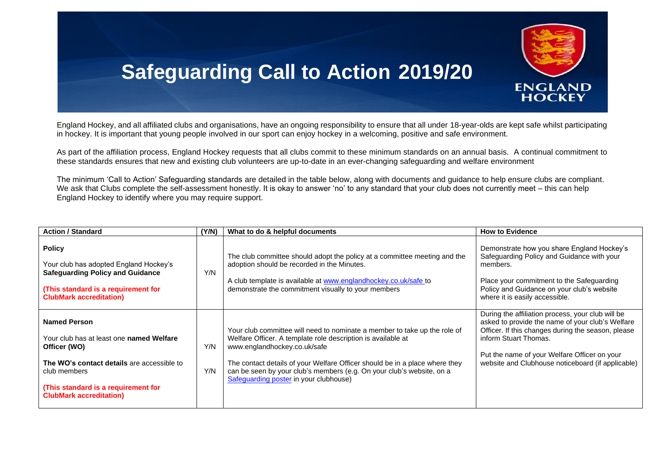

## **Safeguarding Call to Action 2019/20**

England Hockey, and all affiliated clubs and organisations, have an ongoing responsibility to ensure that all under 18-year-olds are kept safe whilst participating in hockey. It is important that young people involved in our sport can enjoy hockey in a welcoming, positive and safe environment.

As part of the affiliation process, England Hockey requests that all clubs commit to these minimum standards on an annual basis. A continual commitment to these standards ensures that new and existing club volunteers are up-to-date in an ever-changing safeguarding and welfare environment

The minimum 'Call to Action' Safeguarding standards are detailed in the table below, along with documents and guidance to help ensure clubs are compliant. We ask that Clubs complete the self-assessment honestly. It is okay to answer 'no' to any standard that your club does not currently meet – this can help England Hockey to identify where you may require support.

| <b>Action / Standard</b>                                                                                                                                                                                               | (Y/N)      | What to do & helpful documents                                                                                                                                                                                                                                                                                                                                              | <b>How to Evidence</b>                                                                                                                                                                                                                                                                    |
|------------------------------------------------------------------------------------------------------------------------------------------------------------------------------------------------------------------------|------------|-----------------------------------------------------------------------------------------------------------------------------------------------------------------------------------------------------------------------------------------------------------------------------------------------------------------------------------------------------------------------------|-------------------------------------------------------------------------------------------------------------------------------------------------------------------------------------------------------------------------------------------------------------------------------------------|
| <b>Policy</b><br>Your club has adopted England Hockey's<br><b>Safeguarding Policy and Guidance</b><br>(This standard is a requirement for<br><b>ClubMark accreditation)</b>                                            | Y/N        | The club committee should adopt the policy at a committee meeting and the<br>adoption should be recorded in the Minutes.<br>A club template is available at www.englandhockey.co.uk/safe to<br>demonstrate the commitment visually to your members                                                                                                                          | Demonstrate how you share England Hockey's<br>Safeguarding Policy and Guidance with your<br>members.<br>Place your commitment to the Safeguarding<br>Policy and Guidance on your club's website<br>where it is easily accessible.                                                         |
| <b>Named Person</b><br>Your club has at least one named Welfare<br>Officer (WO)<br>The WO's contact details are accessible to<br>club members<br>(This standard is a requirement for<br><b>ClubMark accreditation)</b> | Y/N<br>Y/N | Your club committee will need to nominate a member to take up the role of<br>Welfare Officer. A template role description is available at<br>www.englandhockey.co.uk/safe<br>The contact details of your Welfare Officer should be in a place where they<br>can be seen by your club's members (e.g. On your club's website, on a<br>Safeguarding poster in your clubhouse) | During the affiliation process, your club will be<br>asked to provide the name of your club's Welfare<br>Officer. If this changes during the season, please<br>inform Stuart Thomas.<br>Put the name of your Welfare Officer on your<br>website and Clubhouse noticeboard (if applicable) |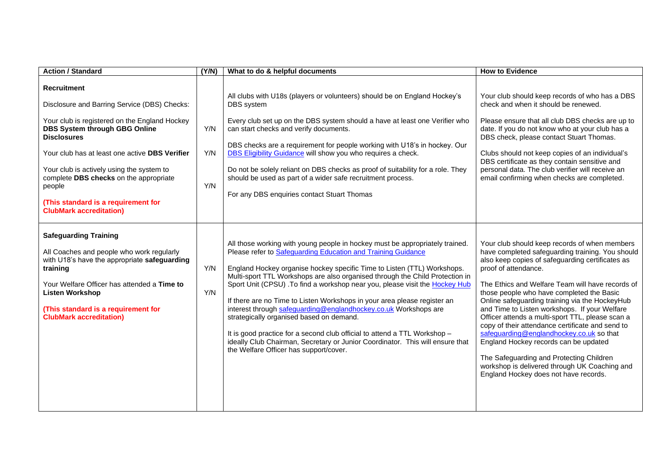| <b>Action / Standard</b>                                                                                                                                                                                                                                                                                                                                                                                      | (Y/N)             | What to do & helpful documents                                                                                                                                                                                                                                                                                                                                                                                                                                                                                                                                                                                                                                                                                                                                                             | <b>How to Evidence</b>                                                                                                                                                                                                                                                                                                                                                                                                                                                                                                                                                                                                                                                                                               |
|---------------------------------------------------------------------------------------------------------------------------------------------------------------------------------------------------------------------------------------------------------------------------------------------------------------------------------------------------------------------------------------------------------------|-------------------|--------------------------------------------------------------------------------------------------------------------------------------------------------------------------------------------------------------------------------------------------------------------------------------------------------------------------------------------------------------------------------------------------------------------------------------------------------------------------------------------------------------------------------------------------------------------------------------------------------------------------------------------------------------------------------------------------------------------------------------------------------------------------------------------|----------------------------------------------------------------------------------------------------------------------------------------------------------------------------------------------------------------------------------------------------------------------------------------------------------------------------------------------------------------------------------------------------------------------------------------------------------------------------------------------------------------------------------------------------------------------------------------------------------------------------------------------------------------------------------------------------------------------|
| <b>Recruitment</b><br>Disclosure and Barring Service (DBS) Checks:<br>Your club is registered on the England Hockey<br><b>DBS System through GBG Online</b><br><b>Disclosures</b><br>Your club has at least one active DBS Verifier<br>Your club is actively using the system to<br>complete DBS checks on the appropriate<br>people<br>(This standard is a requirement for<br><b>ClubMark accreditation)</b> | Y/N<br>Y/N<br>Y/N | All clubs with U18s (players or volunteers) should be on England Hockey's<br>DBS system<br>Every club set up on the DBS system should a have at least one Verifier who<br>can start checks and verify documents.<br>DBS checks are a requirement for people working with U18's in hockey. Our<br>DBS Eligibility Guidance will show you who requires a check.<br>Do not be solely reliant on DBS checks as proof of suitability for a role. They<br>should be used as part of a wider safe recruitment process.<br>For any DBS enquiries contact Stuart Thomas                                                                                                                                                                                                                             | Your club should keep records of who has a DBS<br>check and when it should be renewed.<br>Please ensure that all club DBS checks are up to<br>date. If you do not know who at your club has a<br>DBS check, please contact Stuart Thomas.<br>Clubs should not keep copies of an individual's<br>DBS certificate as they contain sensitive and<br>personal data. The club verifier will receive an<br>email confirming when checks are completed.                                                                                                                                                                                                                                                                     |
| <b>Safeguarding Training</b><br>All Coaches and people who work regularly<br>with U18's have the appropriate safeguarding<br>training<br>Your Welfare Officer has attended a Time to<br><b>Listen Workshop</b><br>(This standard is a requirement for<br><b>ClubMark accreditation)</b>                                                                                                                       | Y/N<br>Y/N        | All those working with young people in hockey must be appropriately trained.<br>Please refer to Safeguarding Education and Training Guidance<br>England Hockey organise hockey specific Time to Listen (TTL) Workshops.<br>Multi-sport TTL Workshops are also organised through the Child Protection in<br>Sport Unit (CPSU) . To find a workshop near you, please visit the Hockey Hub<br>If there are no Time to Listen Workshops in your area please register an<br>interest through safeguarding@englandhockey.co.uk Workshops are<br>strategically organised based on demand.<br>It is good practice for a second club official to attend a TTL Workshop -<br>ideally Club Chairman, Secretary or Junior Coordinator. This will ensure that<br>the Welfare Officer has support/cover. | Your club should keep records of when members<br>have completed safeguarding training. You should<br>also keep copies of safeguarding certificates as<br>proof of attendance.<br>The Ethics and Welfare Team will have records of<br>those people who have completed the Basic<br>Online safeguarding training via the HockeyHub<br>and Time to Listen workshops. If your Welfare<br>Officer attends a multi-sport TTL, please scan a<br>copy of their attendance certificate and send to<br>safeguarding@englandhockey.co.uk so that<br>England Hockey records can be updated<br>The Safeguarding and Protecting Children<br>workshop is delivered through UK Coaching and<br>England Hockey does not have records. |